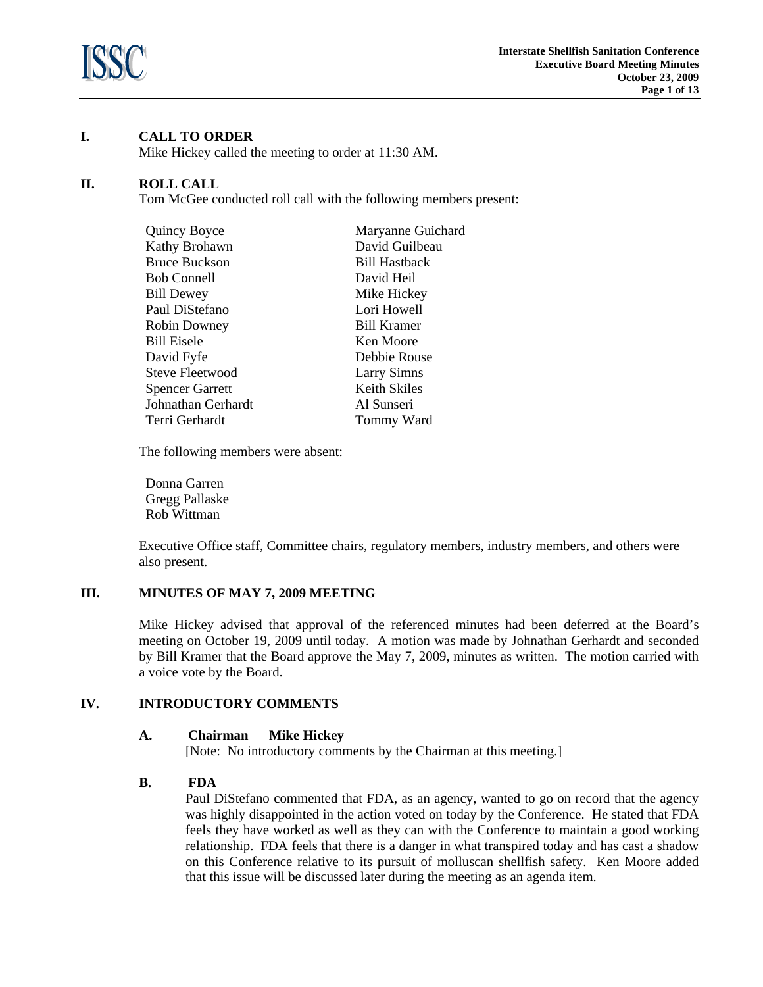

# **I. CALL TO ORDER**

Mike Hickey called the meeting to order at 11:30 AM.

## **II. ROLL CALL**

Tom McGee conducted roll call with the following members present:

| Quincy Boyce           | Maryanne Guichard    |
|------------------------|----------------------|
| Kathy Brohawn          | David Guilbeau       |
| <b>Bruce Buckson</b>   | <b>Bill Hastback</b> |
| <b>Bob Connell</b>     | David Heil           |
| <b>Bill Dewey</b>      | Mike Hickey          |
| Paul DiStefano         | Lori Howell          |
| <b>Robin Downey</b>    | <b>Bill Kramer</b>   |
| <b>Bill Eisele</b>     | Ken Moore            |
| David Fyfe             | Debbie Rouse         |
| <b>Steve Fleetwood</b> | <b>Larry Simns</b>   |
| <b>Spencer Garrett</b> | Keith Skiles         |
| Johnathan Gerhardt     | Al Sunseri           |
| Terri Gerhardt         | Tommy Ward           |

The following members were absent:

Donna Garren Gregg Pallaske Rob Wittman

 Executive Office staff, Committee chairs, regulatory members, industry members, and others were also present.

## **III. MINUTES OF MAY 7, 2009 MEETING**

Mike Hickey advised that approval of the referenced minutes had been deferred at the Board's meeting on October 19, 2009 until today. A motion was made by Johnathan Gerhardt and seconded by Bill Kramer that the Board approve the May 7, 2009, minutes as written. The motion carried with a voice vote by the Board.

## **IV. INTRODUCTORY COMMENTS**

## **A. Chairman Mike Hickey**

[Note: No introductory comments by the Chairman at this meeting.]

## **B. FDA**

Paul DiStefano commented that FDA, as an agency, wanted to go on record that the agency was highly disappointed in the action voted on today by the Conference. He stated that FDA feels they have worked as well as they can with the Conference to maintain a good working relationship. FDA feels that there is a danger in what transpired today and has cast a shadow on this Conference relative to its pursuit of molluscan shellfish safety. Ken Moore added that this issue will be discussed later during the meeting as an agenda item.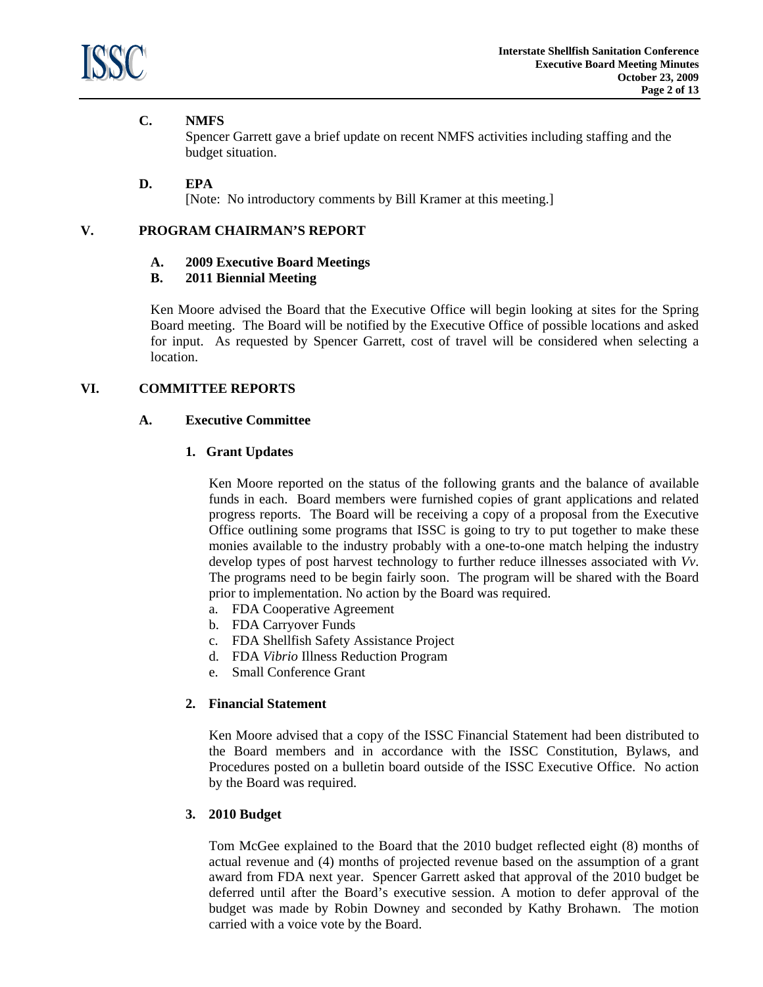

# **C. NMFS**

Spencer Garrett gave a brief update on recent NMFS activities including staffing and the budget situation.

## **D. EPA**

[Note: No introductory comments by Bill Kramer at this meeting.]

## **V. PROGRAM CHAIRMAN'S REPORT**

#### **A. 2009 Executive Board Meetings**

#### **B. 2011 Biennial Meeting**

Ken Moore advised the Board that the Executive Office will begin looking at sites for the Spring Board meeting. The Board will be notified by the Executive Office of possible locations and asked for input. As requested by Spencer Garrett, cost of travel will be considered when selecting a location.

## **VI. COMMITTEE REPORTS**

#### **A. Executive Committee**

#### **1. Grant Updates**

Ken Moore reported on the status of the following grants and the balance of available funds in each. Board members were furnished copies of grant applications and related progress reports. The Board will be receiving a copy of a proposal from the Executive Office outlining some programs that ISSC is going to try to put together to make these monies available to the industry probably with a one-to-one match helping the industry develop types of post harvest technology to further reduce illnesses associated with *Vv*. The programs need to be begin fairly soon. The program will be shared with the Board prior to implementation. No action by the Board was required.

- a. FDA Cooperative Agreement
- b. FDA Carryover Funds
- c. FDA Shellfish Safety Assistance Project
- d. FDA *Vibrio* Illness Reduction Program
- e. Small Conference Grant

#### **2. Financial Statement**

Ken Moore advised that a copy of the ISSC Financial Statement had been distributed to the Board members and in accordance with the ISSC Constitution, Bylaws, and Procedures posted on a bulletin board outside of the ISSC Executive Office. No action by the Board was required.

## **3. 2010 Budget**

 Tom McGee explained to the Board that the 2010 budget reflected eight (8) months of actual revenue and (4) months of projected revenue based on the assumption of a grant award from FDA next year. Spencer Garrett asked that approval of the 2010 budget be deferred until after the Board's executive session. A motion to defer approval of the budget was made by Robin Downey and seconded by Kathy Brohawn. The motion carried with a voice vote by the Board.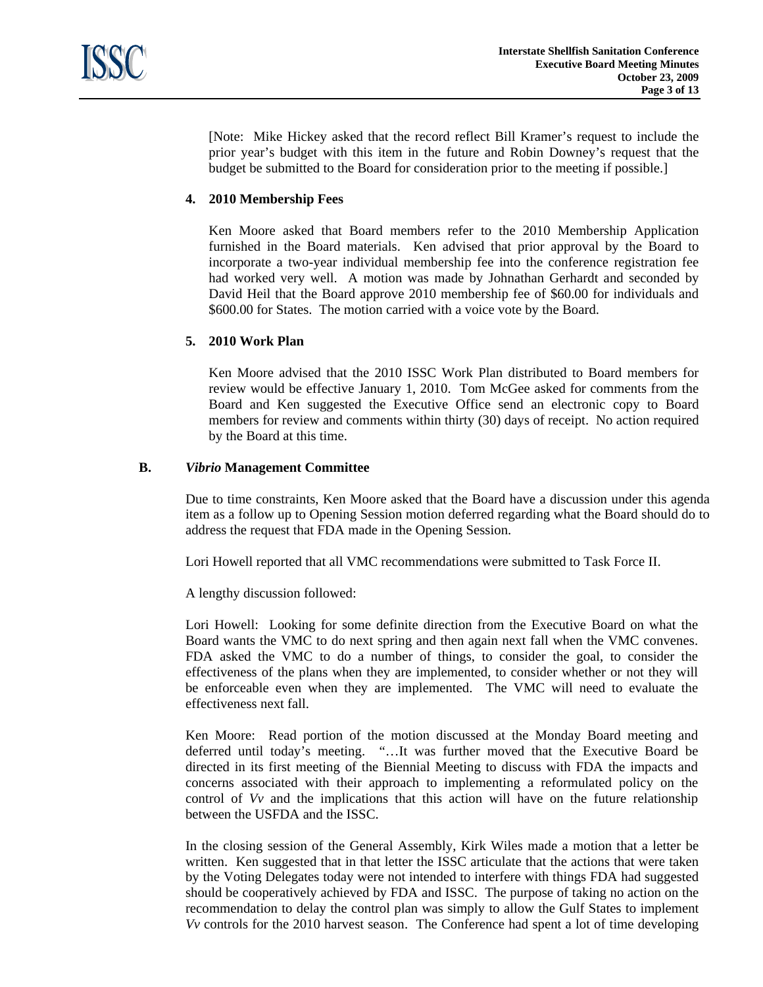[Note: Mike Hickey asked that the record reflect Bill Kramer's request to include the prior year's budget with this item in the future and Robin Downey's request that the budget be submitted to the Board for consideration prior to the meeting if possible.]

# **4. 2010 Membership Fees**

 Ken Moore asked that Board members refer to the 2010 Membership Application furnished in the Board materials. Ken advised that prior approval by the Board to incorporate a two-year individual membership fee into the conference registration fee had worked very well. A motion was made by Johnathan Gerhardt and seconded by David Heil that the Board approve 2010 membership fee of \$60.00 for individuals and \$600.00 for States. The motion carried with a voice vote by the Board.

## **5. 2010 Work Plan**

Ken Moore advised that the 2010 ISSC Work Plan distributed to Board members for review would be effective January 1, 2010. Tom McGee asked for comments from the Board and Ken suggested the Executive Office send an electronic copy to Board members for review and comments within thirty (30) days of receipt. No action required by the Board at this time.

#### **B.** *Vibrio* **Management Committee**

 Due to time constraints, Ken Moore asked that the Board have a discussion under this agenda item as a follow up to Opening Session motion deferred regarding what the Board should do to address the request that FDA made in the Opening Session.

Lori Howell reported that all VMC recommendations were submitted to Task Force II.

A lengthy discussion followed:

Lori Howell: Looking for some definite direction from the Executive Board on what the Board wants the VMC to do next spring and then again next fall when the VMC convenes. FDA asked the VMC to do a number of things, to consider the goal, to consider the effectiveness of the plans when they are implemented, to consider whether or not they will be enforceable even when they are implemented. The VMC will need to evaluate the effectiveness next fall.

Ken Moore: Read portion of the motion discussed at the Monday Board meeting and deferred until today's meeting. "…It was further moved that the Executive Board be directed in its first meeting of the Biennial Meeting to discuss with FDA the impacts and concerns associated with their approach to implementing a reformulated policy on the control of *Vv* and the implications that this action will have on the future relationship between the USFDA and the ISSC.

In the closing session of the General Assembly, Kirk Wiles made a motion that a letter be written. Ken suggested that in that letter the ISSC articulate that the actions that were taken by the Voting Delegates today were not intended to interfere with things FDA had suggested should be cooperatively achieved by FDA and ISSC. The purpose of taking no action on the recommendation to delay the control plan was simply to allow the Gulf States to implement *Vv* controls for the 2010 harvest season. The Conference had spent a lot of time developing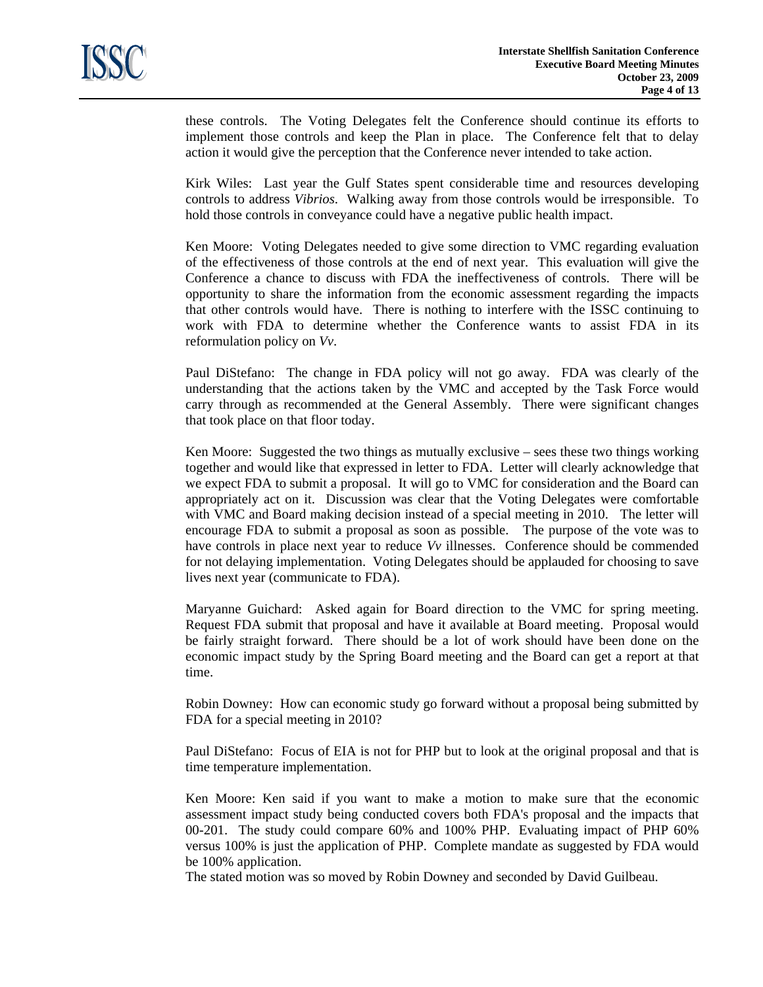these controls. The Voting Delegates felt the Conference should continue its efforts to implement those controls and keep the Plan in place. The Conference felt that to delay action it would give the perception that the Conference never intended to take action.

Kirk Wiles: Last year the Gulf States spent considerable time and resources developing controls to address *Vibrios*. Walking away from those controls would be irresponsible. To hold those controls in conveyance could have a negative public health impact.

Ken Moore: Voting Delegates needed to give some direction to VMC regarding evaluation of the effectiveness of those controls at the end of next year. This evaluation will give the Conference a chance to discuss with FDA the ineffectiveness of controls. There will be opportunity to share the information from the economic assessment regarding the impacts that other controls would have. There is nothing to interfere with the ISSC continuing to work with FDA to determine whether the Conference wants to assist FDA in its reformulation policy on *Vv*.

Paul DiStefano: The change in FDA policy will not go away. FDA was clearly of the understanding that the actions taken by the VMC and accepted by the Task Force would carry through as recommended at the General Assembly. There were significant changes that took place on that floor today.

Ken Moore: Suggested the two things as mutually exclusive – sees these two things working together and would like that expressed in letter to FDA. Letter will clearly acknowledge that we expect FDA to submit a proposal. It will go to VMC for consideration and the Board can appropriately act on it. Discussion was clear that the Voting Delegates were comfortable with VMC and Board making decision instead of a special meeting in 2010. The letter will encourage FDA to submit a proposal as soon as possible. The purpose of the vote was to have controls in place next year to reduce *Vv* illnesses. Conference should be commended for not delaying implementation. Voting Delegates should be applauded for choosing to save lives next year (communicate to FDA).

Maryanne Guichard: Asked again for Board direction to the VMC for spring meeting. Request FDA submit that proposal and have it available at Board meeting. Proposal would be fairly straight forward. There should be a lot of work should have been done on the economic impact study by the Spring Board meeting and the Board can get a report at that time.

Robin Downey: How can economic study go forward without a proposal being submitted by FDA for a special meeting in 2010?

Paul DiStefano: Focus of EIA is not for PHP but to look at the original proposal and that is time temperature implementation.

Ken Moore: Ken said if you want to make a motion to make sure that the economic assessment impact study being conducted covers both FDA's proposal and the impacts that 00-201. The study could compare 60% and 100% PHP. Evaluating impact of PHP 60% versus 100% is just the application of PHP. Complete mandate as suggested by FDA would be 100% application.

The stated motion was so moved by Robin Downey and seconded by David Guilbeau.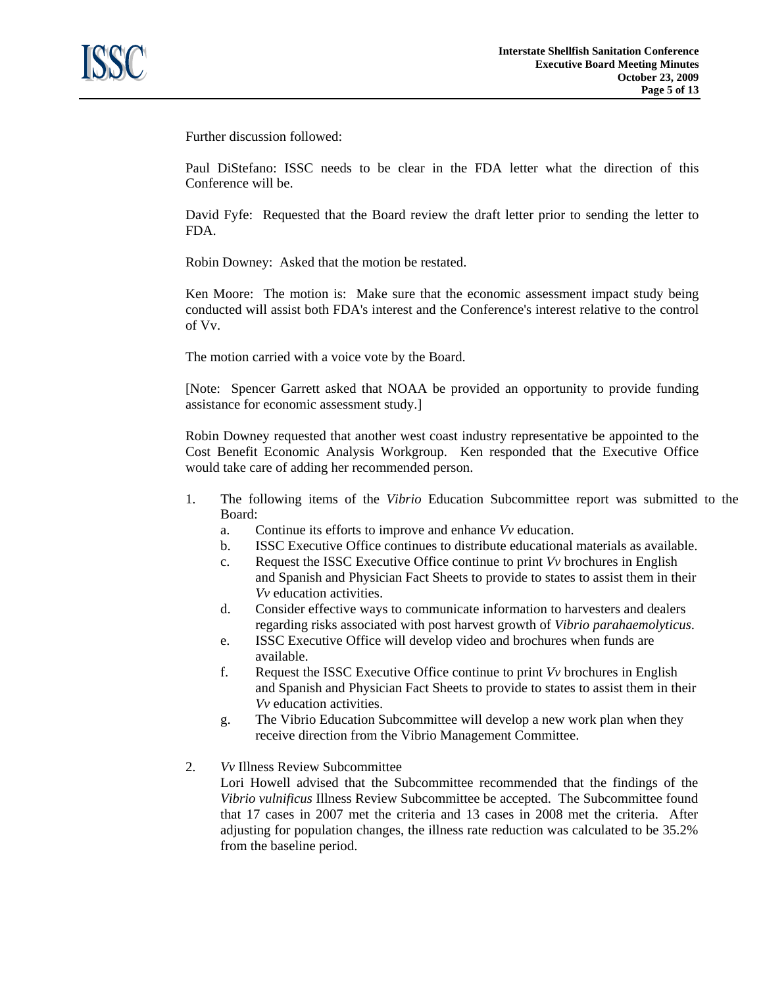

Further discussion followed:

Paul DiStefano: ISSC needs to be clear in the FDA letter what the direction of this Conference will be.

David Fyfe: Requested that the Board review the draft letter prior to sending the letter to FDA.

Robin Downey: Asked that the motion be restated.

Ken Moore: The motion is: Make sure that the economic assessment impact study being conducted will assist both FDA's interest and the Conference's interest relative to the control of Vv.

The motion carried with a voice vote by the Board.

[Note: Spencer Garrett asked that NOAA be provided an opportunity to provide funding assistance for economic assessment study.]

Robin Downey requested that another west coast industry representative be appointed to the Cost Benefit Economic Analysis Workgroup. Ken responded that the Executive Office would take care of adding her recommended person.

- 1. The following items of the *Vibrio* Education Subcommittee report was submitted to the Board:
	- a. Continue its efforts to improve and enhance *Vv* education.
	- b. ISSC Executive Office continues to distribute educational materials as available.
	- c. Request the ISSC Executive Office continue to print *Vv* brochures in English and Spanish and Physician Fact Sheets to provide to states to assist them in their *Vv* education activities.
	- d. Consider effective ways to communicate information to harvesters and dealers regarding risks associated with post harvest growth of *Vibrio parahaemolyticus*.
	- e. ISSC Executive Office will develop video and brochures when funds are available.
	- f. Request the ISSC Executive Office continue to print *Vv* brochures in English and Spanish and Physician Fact Sheets to provide to states to assist them in their *Vv* education activities.
	- g. The Vibrio Education Subcommittee will develop a new work plan when they receive direction from the Vibrio Management Committee.
- 2. *Vv* Illness Review Subcommittee

 Lori Howell advised that the Subcommittee recommended that the findings of the *Vibrio vulnificus* Illness Review Subcommittee be accepted. The Subcommittee found that 17 cases in 2007 met the criteria and 13 cases in 2008 met the criteria. After adjusting for population changes, the illness rate reduction was calculated to be 35.2% from the baseline period.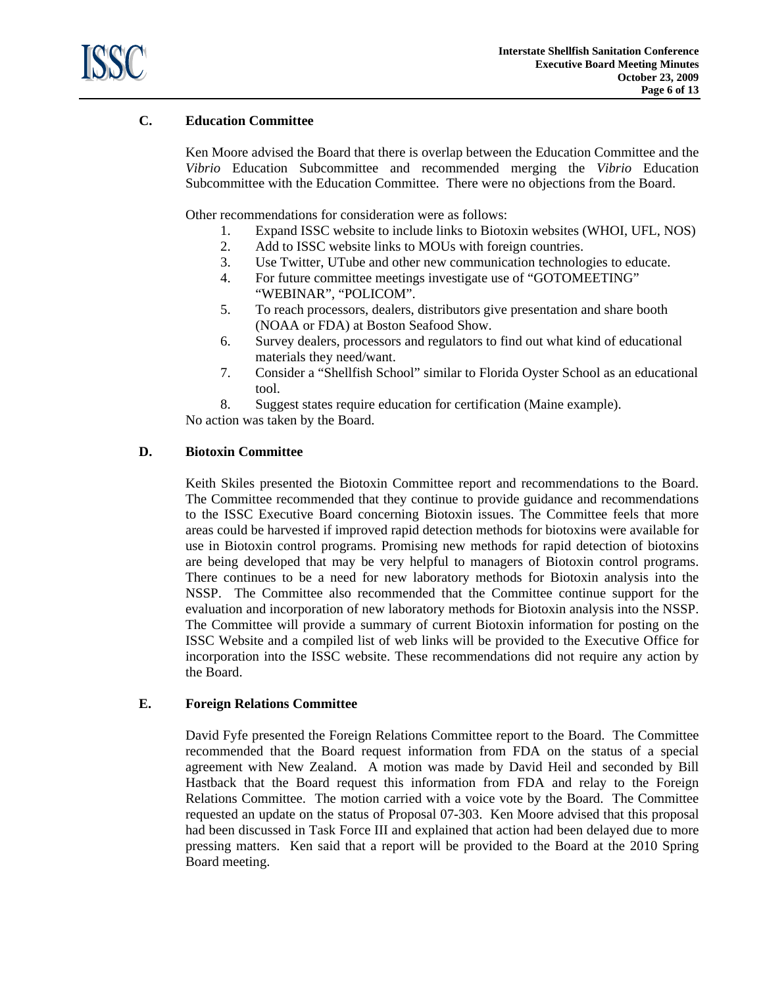

# **C. Education Committee**

 Ken Moore advised the Board that there is overlap between the Education Committee and the *Vibrio* Education Subcommittee and recommended merging the *Vibrio* Education Subcommittee with the Education Committee. There were no objections from the Board.

Other recommendations for consideration were as follows:

- 1. Expand ISSC website to include links to Biotoxin websites (WHOI, UFL, NOS)
- 2. Add to ISSC website links to MOUs with foreign countries.
- 3. Use Twitter, UTube and other new communication technologies to educate.
- 4. For future committee meetings investigate use of "GOTOMEETING" "WEBINAR", "POLICOM".
- 5. To reach processors, dealers, distributors give presentation and share booth (NOAA or FDA) at Boston Seafood Show.
- 6. Survey dealers, processors and regulators to find out what kind of educational materials they need/want.
- 7. Consider a "Shellfish School" similar to Florida Oyster School as an educational tool.

8. Suggest states require education for certification (Maine example).

No action was taken by the Board.

## **D. Biotoxin Committee**

Keith Skiles presented the Biotoxin Committee report and recommendations to the Board. The Committee recommended that they continue to provide guidance and recommendations to the ISSC Executive Board concerning Biotoxin issues. The Committee feels that more areas could be harvested if improved rapid detection methods for biotoxins were available for use in Biotoxin control programs. Promising new methods for rapid detection of biotoxins are being developed that may be very helpful to managers of Biotoxin control programs. There continues to be a need for new laboratory methods for Biotoxin analysis into the NSSP. The Committee also recommended that the Committee continue support for the evaluation and incorporation of new laboratory methods for Biotoxin analysis into the NSSP. The Committee will provide a summary of current Biotoxin information for posting on the ISSC Website and a compiled list of web links will be provided to the Executive Office for incorporation into the ISSC website. These recommendations did not require any action by the Board.

## **E. Foreign Relations Committee**

 David Fyfe presented the Foreign Relations Committee report to the Board. The Committee recommended that the Board request information from FDA on the status of a special agreement with New Zealand. A motion was made by David Heil and seconded by Bill Hastback that the Board request this information from FDA and relay to the Foreign Relations Committee. The motion carried with a voice vote by the Board. The Committee requested an update on the status of Proposal 07-303. Ken Moore advised that this proposal had been discussed in Task Force III and explained that action had been delayed due to more pressing matters. Ken said that a report will be provided to the Board at the 2010 Spring Board meeting.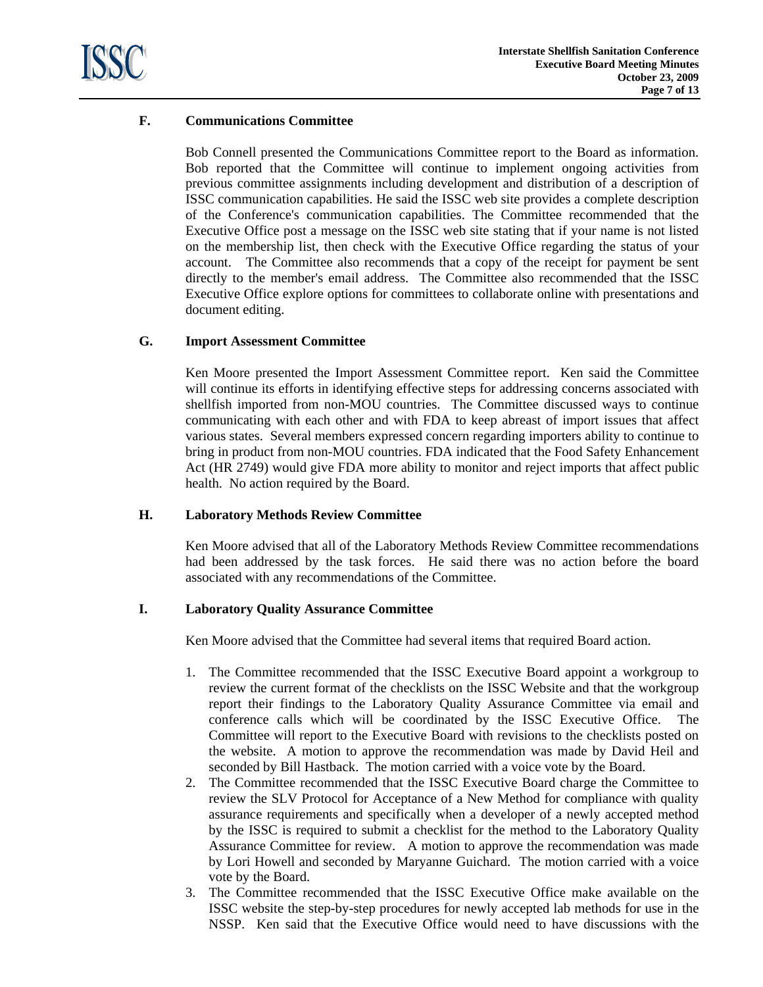

# **F. Communications Committee**

Bob Connell presented the Communications Committee report to the Board as information. Bob reported that the Committee will continue to implement ongoing activities from previous committee assignments including development and distribution of a description of ISSC communication capabilities. He said the ISSC web site provides a complete description of the Conference's communication capabilities. The Committee recommended that the Executive Office post a message on the ISSC web site stating that if your name is not listed on the membership list, then check with the Executive Office regarding the status of your account. The Committee also recommends that a copy of the receipt for payment be sent directly to the member's email address. The Committee also recommended that the ISSC Executive Office explore options for committees to collaborate online with presentations and document editing.

## **G. Import Assessment Committee**

Ken Moore presented the Import Assessment Committee report. Ken said the Committee will continue its efforts in identifying effective steps for addressing concerns associated with shellfish imported from non-MOU countries. The Committee discussed ways to continue communicating with each other and with FDA to keep abreast of import issues that affect various states. Several members expressed concern regarding importers ability to continue to bring in product from non-MOU countries. FDA indicated that the Food Safety Enhancement Act (HR 2749) would give FDA more ability to monitor and reject imports that affect public health. No action required by the Board.

## **H. Laboratory Methods Review Committee**

 Ken Moore advised that all of the Laboratory Methods Review Committee recommendations had been addressed by the task forces. He said there was no action before the board associated with any recommendations of the Committee.

## **I. Laboratory Quality Assurance Committee**

Ken Moore advised that the Committee had several items that required Board action.

- 1. The Committee recommended that the ISSC Executive Board appoint a workgroup to review the current format of the checklists on the ISSC Website and that the workgroup report their findings to the Laboratory Quality Assurance Committee via email and conference calls which will be coordinated by the ISSC Executive Office. The Committee will report to the Executive Board with revisions to the checklists posted on the website. A motion to approve the recommendation was made by David Heil and seconded by Bill Hastback. The motion carried with a voice vote by the Board.
- 2. The Committee recommended that the ISSC Executive Board charge the Committee to review the SLV Protocol for Acceptance of a New Method for compliance with quality assurance requirements and specifically when a developer of a newly accepted method by the ISSC is required to submit a checklist for the method to the Laboratory Quality Assurance Committee for review. A motion to approve the recommendation was made by Lori Howell and seconded by Maryanne Guichard. The motion carried with a voice vote by the Board.
- 3. The Committee recommended that the ISSC Executive Office make available on the ISSC website the step-by-step procedures for newly accepted lab methods for use in the NSSP. Ken said that the Executive Office would need to have discussions with the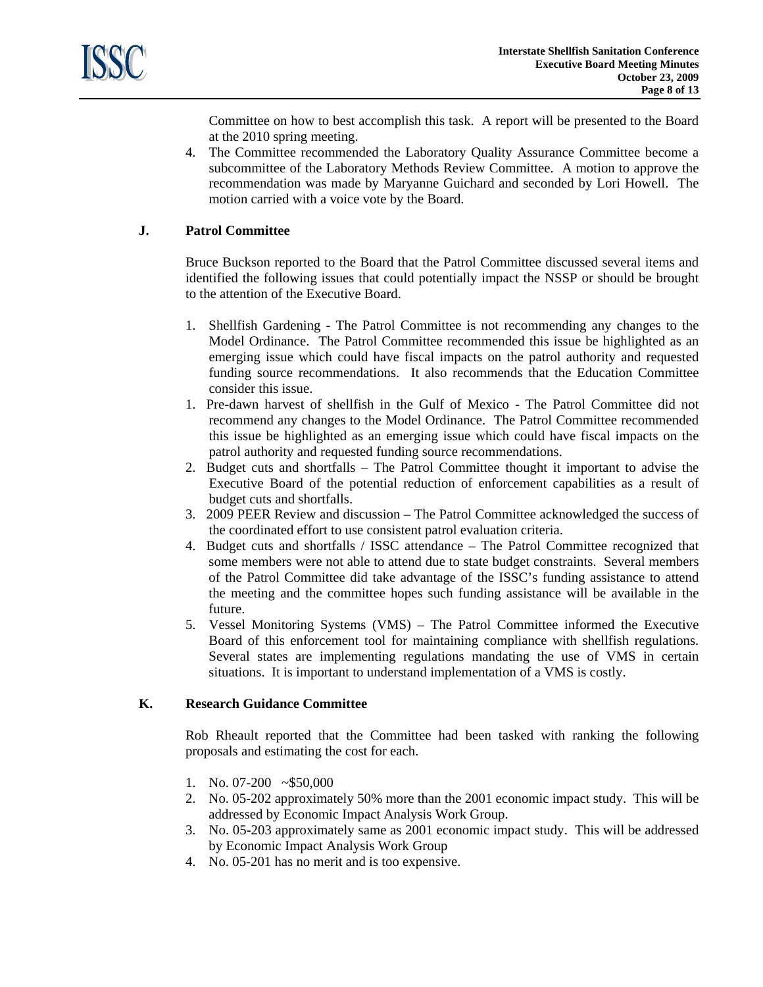

Committee on how to best accomplish this task. A report will be presented to the Board at the 2010 spring meeting.

4. The Committee recommended the Laboratory Quality Assurance Committee become a subcommittee of the Laboratory Methods Review Committee. A motion to approve the recommendation was made by Maryanne Guichard and seconded by Lori Howell. The motion carried with a voice vote by the Board.

## **J. Patrol Committee**

Bruce Buckson reported to the Board that the Patrol Committee discussed several items and identified the following issues that could potentially impact the NSSP or should be brought to the attention of the Executive Board.

- 1. Shellfish Gardening The Patrol Committee is not recommending any changes to the Model Ordinance. The Patrol Committee recommended this issue be highlighted as an emerging issue which could have fiscal impacts on the patrol authority and requested funding source recommendations. It also recommends that the Education Committee consider this issue.
- 1. Pre-dawn harvest of shellfish in the Gulf of Mexico The Patrol Committee did not recommend any changes to the Model Ordinance. The Patrol Committee recommended this issue be highlighted as an emerging issue which could have fiscal impacts on the patrol authority and requested funding source recommendations.
- 2. Budget cuts and shortfalls The Patrol Committee thought it important to advise the Executive Board of the potential reduction of enforcement capabilities as a result of budget cuts and shortfalls.
- 3. 2009 PEER Review and discussion The Patrol Committee acknowledged the success of the coordinated effort to use consistent patrol evaluation criteria.
- 4. Budget cuts and shortfalls / ISSC attendance The Patrol Committee recognized that some members were not able to attend due to state budget constraints. Several members of the Patrol Committee did take advantage of the ISSC's funding assistance to attend the meeting and the committee hopes such funding assistance will be available in the future.
- 5. Vessel Monitoring Systems (VMS) The Patrol Committee informed the Executive Board of this enforcement tool for maintaining compliance with shellfish regulations. Several states are implementing regulations mandating the use of VMS in certain situations. It is important to understand implementation of a VMS is costly.

#### **K. Research Guidance Committee**

Rob Rheault reported that the Committee had been tasked with ranking the following proposals and estimating the cost for each.

- 1. No. 07-200 ~\$50,000
- 2. No. 05-202 approximately 50% more than the 2001 economic impact study. This will be addressed by Economic Impact Analysis Work Group.
- 3. No. 05-203 approximately same as 2001 economic impact study. This will be addressed by Economic Impact Analysis Work Group
- 4. No. 05-201 has no merit and is too expensive.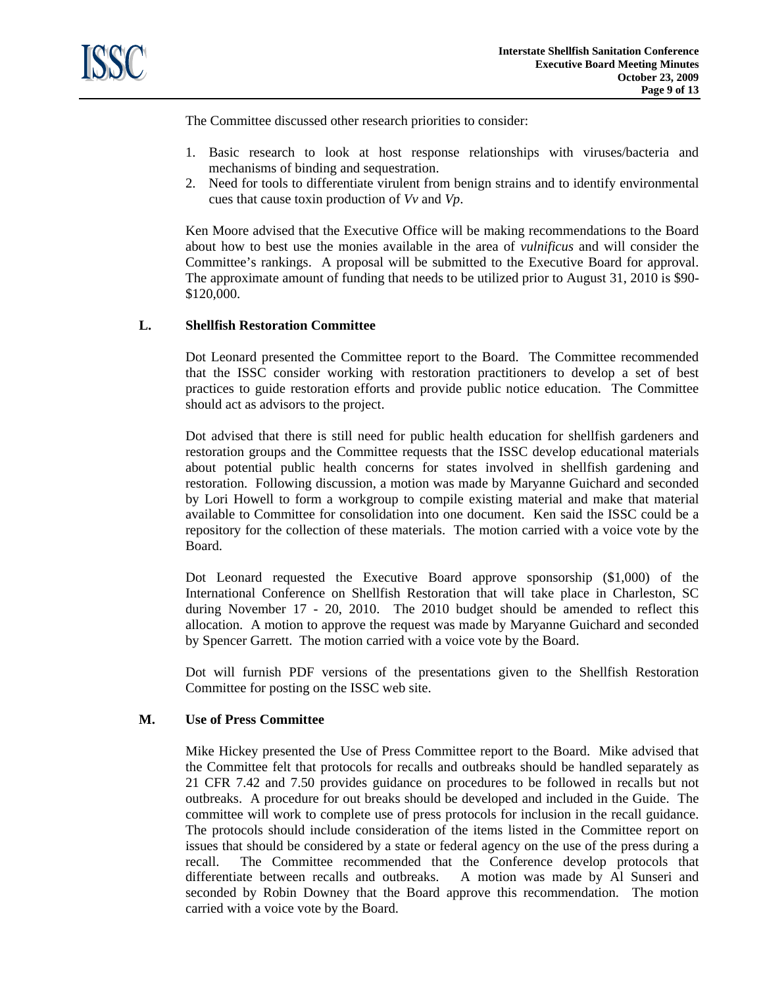

The Committee discussed other research priorities to consider:

- 1. Basic research to look at host response relationships with viruses/bacteria and mechanisms of binding and sequestration.
- 2. Need for tools to differentiate virulent from benign strains and to identify environmental cues that cause toxin production of *Vv* and *Vp*.

Ken Moore advised that the Executive Office will be making recommendations to the Board about how to best use the monies available in the area of *vulnificus* and will consider the Committee's rankings. A proposal will be submitted to the Executive Board for approval. The approximate amount of funding that needs to be utilized prior to August 31, 2010 is \$90- \$120,000.

## **L. Shellfish Restoration Committee**

 Dot Leonard presented the Committee report to the Board. The Committee recommended that the ISSC consider working with restoration practitioners to develop a set of best practices to guide restoration efforts and provide public notice education. The Committee should act as advisors to the project.

 Dot advised that there is still need for public health education for shellfish gardeners and restoration groups and the Committee requests that the ISSC develop educational materials about potential public health concerns for states involved in shellfish gardening and restoration. Following discussion, a motion was made by Maryanne Guichard and seconded by Lori Howell to form a workgroup to compile existing material and make that material available to Committee for consolidation into one document. Ken said the ISSC could be a repository for the collection of these materials. The motion carried with a voice vote by the Board.

 Dot Leonard requested the Executive Board approve sponsorship (\$1,000) of the International Conference on Shellfish Restoration that will take place in Charleston, SC during November 17 - 20, 2010. The 2010 budget should be amended to reflect this allocation. A motion to approve the request was made by Maryanne Guichard and seconded by Spencer Garrett. The motion carried with a voice vote by the Board.

 Dot will furnish PDF versions of the presentations given to the Shellfish Restoration Committee for posting on the ISSC web site.

## **M. Use of Press Committee**

Mike Hickey presented the Use of Press Committee report to the Board. Mike advised that the Committee felt that protocols for recalls and outbreaks should be handled separately as 21 CFR 7.42 and 7.50 provides guidance on procedures to be followed in recalls but not outbreaks. A procedure for out breaks should be developed and included in the Guide. The committee will work to complete use of press protocols for inclusion in the recall guidance. The protocols should include consideration of the items listed in the Committee report on issues that should be considered by a state or federal agency on the use of the press during a recall. The Committee recommended that the Conference develop protocols that differentiate between recalls and outbreaks. A motion was made by Al Sunseri and seconded by Robin Downey that the Board approve this recommendation. The motion carried with a voice vote by the Board.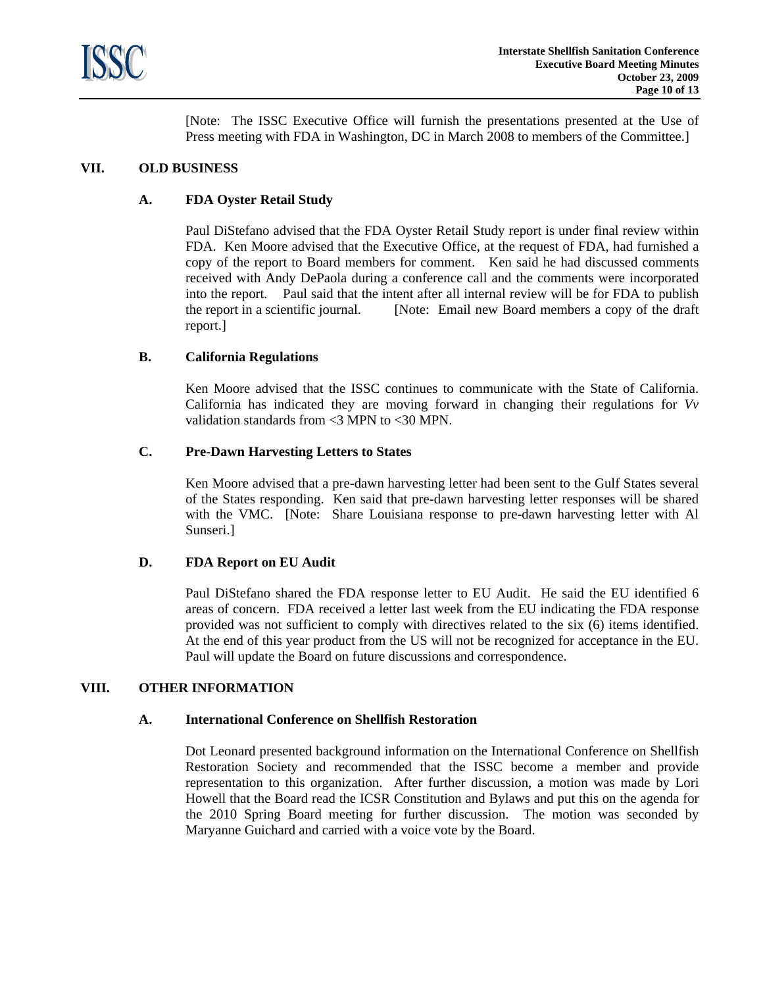

[Note: The ISSC Executive Office will furnish the presentations presented at the Use of Press meeting with FDA in Washington, DC in March 2008 to members of the Committee.]

## **VII. OLD BUSINESS**

# **A. FDA Oyster Retail Study**

 Paul DiStefano advised that the FDA Oyster Retail Study report is under final review within FDA. Ken Moore advised that the Executive Office, at the request of FDA, had furnished a copy of the report to Board members for comment. Ken said he had discussed comments received with Andy DePaola during a conference call and the comments were incorporated into the report. Paul said that the intent after all internal review will be for FDA to publish the report in a scientific journal. [Note: Email new Board members a copy of the draft report.]

## **B. California Regulations**

 Ken Moore advised that the ISSC continues to communicate with the State of California. California has indicated they are moving forward in changing their regulations for *Vv* validation standards from <3 MPN to <30 MPN.

## **C. Pre-Dawn Harvesting Letters to States**

Ken Moore advised that a pre-dawn harvesting letter had been sent to the Gulf States several of the States responding. Ken said that pre-dawn harvesting letter responses will be shared with the VMC. [Note: Share Louisiana response to pre-dawn harvesting letter with Al Sunseri.]

## **D. FDA Report on EU Audit**

Paul DiStefano shared the FDA response letter to EU Audit. He said the EU identified 6 areas of concern. FDA received a letter last week from the EU indicating the FDA response provided was not sufficient to comply with directives related to the six (6) items identified. At the end of this year product from the US will not be recognized for acceptance in the EU. Paul will update the Board on future discussions and correspondence.

## **VIII. OTHER INFORMATION**

#### **A. International Conference on Shellfish Restoration**

 Dot Leonard presented background information on the International Conference on Shellfish Restoration Society and recommended that the ISSC become a member and provide representation to this organization. After further discussion, a motion was made by Lori Howell that the Board read the ICSR Constitution and Bylaws and put this on the agenda for the 2010 Spring Board meeting for further discussion. The motion was seconded by Maryanne Guichard and carried with a voice vote by the Board.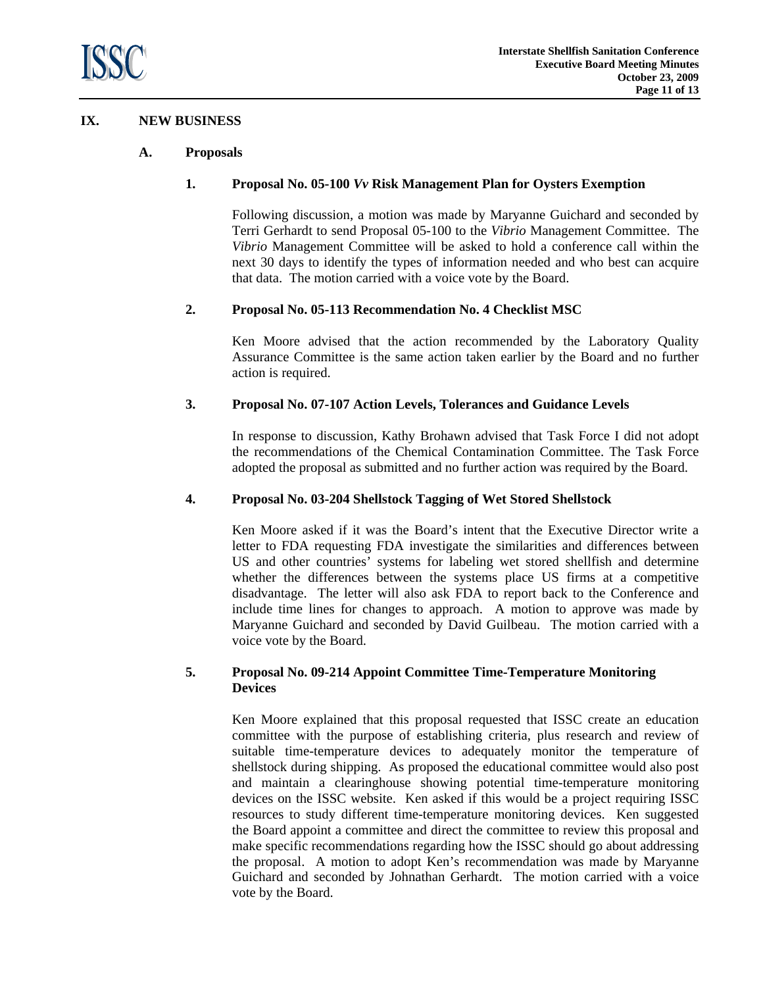

## **IX. NEW BUSINESS**

## **A. Proposals**

## **1. Proposal No. 05-100** *Vv* **Risk Management Plan for Oysters Exemption**

Following discussion, a motion was made by Maryanne Guichard and seconded by Terri Gerhardt to send Proposal 05-100 to the *Vibrio* Management Committee. The *Vibrio* Management Committee will be asked to hold a conference call within the next 30 days to identify the types of information needed and who best can acquire that data. The motion carried with a voice vote by the Board.

# **2. Proposal No. 05-113 Recommendation No. 4 Checklist MSC**

 Ken Moore advised that the action recommended by the Laboratory Quality Assurance Committee is the same action taken earlier by the Board and no further action is required.

# **3. Proposal No. 07-107 Action Levels, Tolerances and Guidance Levels**

 In response to discussion, Kathy Brohawn advised that Task Force I did not adopt the recommendations of the Chemical Contamination Committee. The Task Force adopted the proposal as submitted and no further action was required by the Board.

## **4. Proposal No. 03-204 Shellstock Tagging of Wet Stored Shellstock**

 Ken Moore asked if it was the Board's intent that the Executive Director write a letter to FDA requesting FDA investigate the similarities and differences between US and other countries' systems for labeling wet stored shellfish and determine whether the differences between the systems place US firms at a competitive disadvantage. The letter will also ask FDA to report back to the Conference and include time lines for changes to approach. A motion to approve was made by Maryanne Guichard and seconded by David Guilbeau. The motion carried with a voice vote by the Board.

# **5. Proposal No. 09-214 Appoint Committee Time-Temperature Monitoring Devices**

 Ken Moore explained that this proposal requested that ISSC create an education committee with the purpose of establishing criteria, plus research and review of suitable time-temperature devices to adequately monitor the temperature of shellstock during shipping. As proposed the educational committee would also post and maintain a clearinghouse showing potential time-temperature monitoring devices on the ISSC website. Ken asked if this would be a project requiring ISSC resources to study different time-temperature monitoring devices. Ken suggested the Board appoint a committee and direct the committee to review this proposal and make specific recommendations regarding how the ISSC should go about addressing the proposal. A motion to adopt Ken's recommendation was made by Maryanne Guichard and seconded by Johnathan Gerhardt. The motion carried with a voice vote by the Board.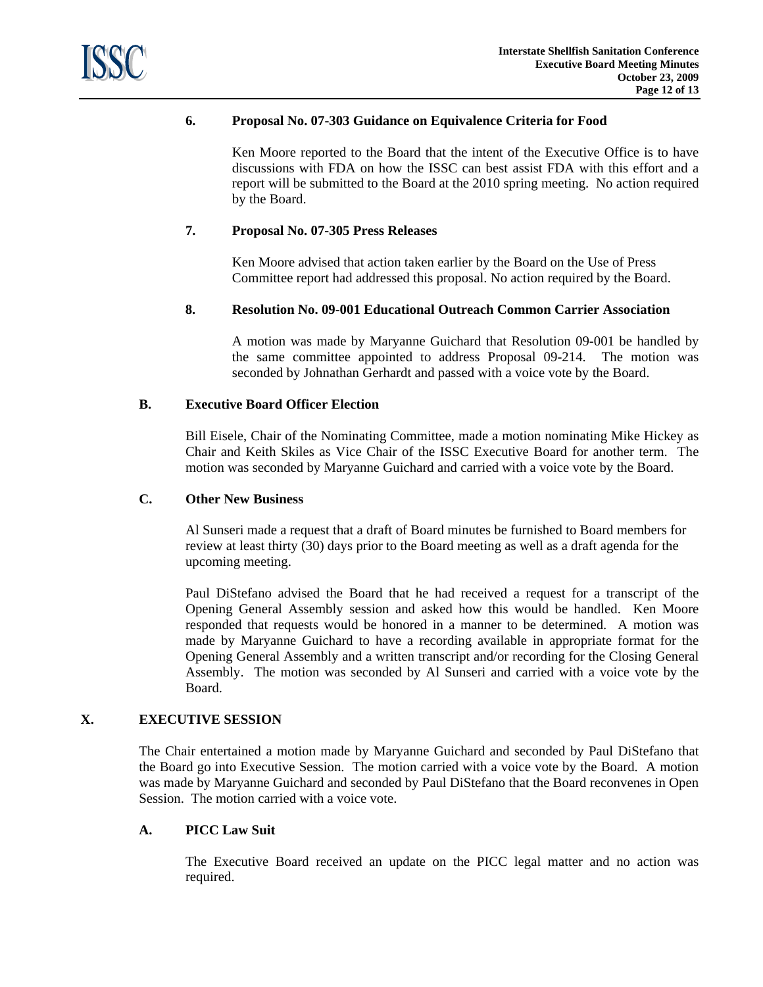

# **6. Proposal No. 07-303 Guidance on Equivalence Criteria for Food**

Ken Moore reported to the Board that the intent of the Executive Office is to have discussions with FDA on how the ISSC can best assist FDA with this effort and a report will be submitted to the Board at the 2010 spring meeting. No action required by the Board.

#### **7. Proposal No. 07-305 Press Releases**

Ken Moore advised that action taken earlier by the Board on the Use of Press Committee report had addressed this proposal. No action required by the Board.

## **8. Resolution No. 09-001 Educational Outreach Common Carrier Association**

A motion was made by Maryanne Guichard that Resolution 09-001 be handled by the same committee appointed to address Proposal 09-214. The motion was seconded by Johnathan Gerhardt and passed with a voice vote by the Board.

# **B. Executive Board Officer Election**

 Bill Eisele, Chair of the Nominating Committee, made a motion nominating Mike Hickey as Chair and Keith Skiles as Vice Chair of the ISSC Executive Board for another term. The motion was seconded by Maryanne Guichard and carried with a voice vote by the Board.

#### **C. Other New Business**

 Al Sunseri made a request that a draft of Board minutes be furnished to Board members for review at least thirty (30) days prior to the Board meeting as well as a draft agenda for the upcoming meeting.

Paul DiStefano advised the Board that he had received a request for a transcript of the Opening General Assembly session and asked how this would be handled. Ken Moore responded that requests would be honored in a manner to be determined. A motion was made by Maryanne Guichard to have a recording available in appropriate format for the Opening General Assembly and a written transcript and/or recording for the Closing General Assembly. The motion was seconded by Al Sunseri and carried with a voice vote by the Board.

# **X. EXECUTIVE SESSION**

The Chair entertained a motion made by Maryanne Guichard and seconded by Paul DiStefano that the Board go into Executive Session. The motion carried with a voice vote by the Board. A motion was made by Maryanne Guichard and seconded by Paul DiStefano that the Board reconvenes in Open Session. The motion carried with a voice vote.

## **A. PICC Law Suit**

 The Executive Board received an update on the PICC legal matter and no action was required.